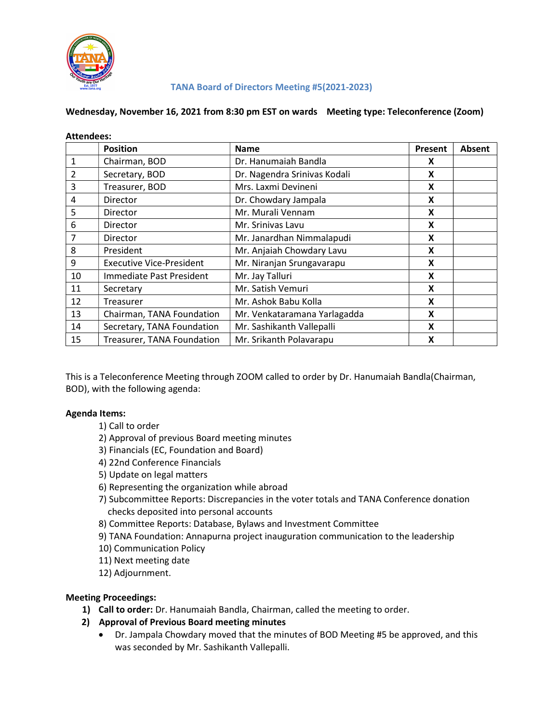

### TANA Board of Directors Meeting #5(2021-2023)

### Wednesday, November 16, 2021 from 8:30 pm EST on wards Meeting type: Teleconference (Zoom)

| <b>Attendees:</b> |                                 |                              |         |               |
|-------------------|---------------------------------|------------------------------|---------|---------------|
|                   | <b>Position</b>                 | <b>Name</b>                  | Present | <b>Absent</b> |
| 1                 | Chairman, BOD                   | Dr. Hanumaiah Bandla         | X       |               |
| 2                 | Secretary, BOD                  | Dr. Nagendra Srinivas Kodali | X       |               |
| 3                 | Treasurer, BOD                  | Mrs. Laxmi Devineni          | X       |               |
| 4                 | <b>Director</b>                 | Dr. Chowdary Jampala         | X       |               |
| 5                 | <b>Director</b>                 | Mr. Murali Vennam            | X       |               |
| 6                 | <b>Director</b>                 | Mr. Srinivas Lavu            | X       |               |
| 7                 | <b>Director</b>                 | Mr. Janardhan Nimmalapudi    | X       |               |
| 8                 | President                       | Mr. Anjaiah Chowdary Lavu    | X       |               |
| 9                 | <b>Executive Vice-President</b> | Mr. Niranjan Srungavarapu    | X       |               |
| 10                | Immediate Past President        | Mr. Jay Talluri              | X       |               |
| 11                | Secretary                       | Mr. Satish Vemuri            | X       |               |
| 12                | Treasurer                       | Mr. Ashok Babu Kolla         | X       |               |
| 13                | Chairman, TANA Foundation       | Mr. Venkataramana Yarlagadda | X       |               |
| 14                | Secretary, TANA Foundation      | Mr. Sashikanth Vallepalli    | X       |               |
| 15                | Treasurer, TANA Foundation      | Mr. Srikanth Polavarapu      | X       |               |

This is a Teleconference Meeting through ZOOM called to order by Dr. Hanumaiah Bandla(Chairman, BOD), with the following agenda:

### Agenda Items:

- 1) Call to order
- 2) Approval of previous Board meeting minutes
- 3) Financials (EC, Foundation and Board)
- 4) 22nd Conference Financials
- 5) Update on legal matters
- 6) Representing the organization while abroad
- 7) Subcommittee Reports: Discrepancies in the voter totals and TANA Conference donation checks deposited into personal accounts
- 8) Committee Reports: Database, Bylaws and Investment Committee
- 9) TANA Foundation: Annapurna project inauguration communication to the leadership
- 10) Communication Policy
- 11) Next meeting date
- 12) Adjournment.

### Meeting Proceedings:

- 1) Call to order: Dr. Hanumaiah Bandla, Chairman, called the meeting to order.
- 2) Approval of Previous Board meeting minutes
	- Dr. Jampala Chowdary moved that the minutes of BOD Meeting #5 be approved, and this was seconded by Mr. Sashikanth Vallepalli.